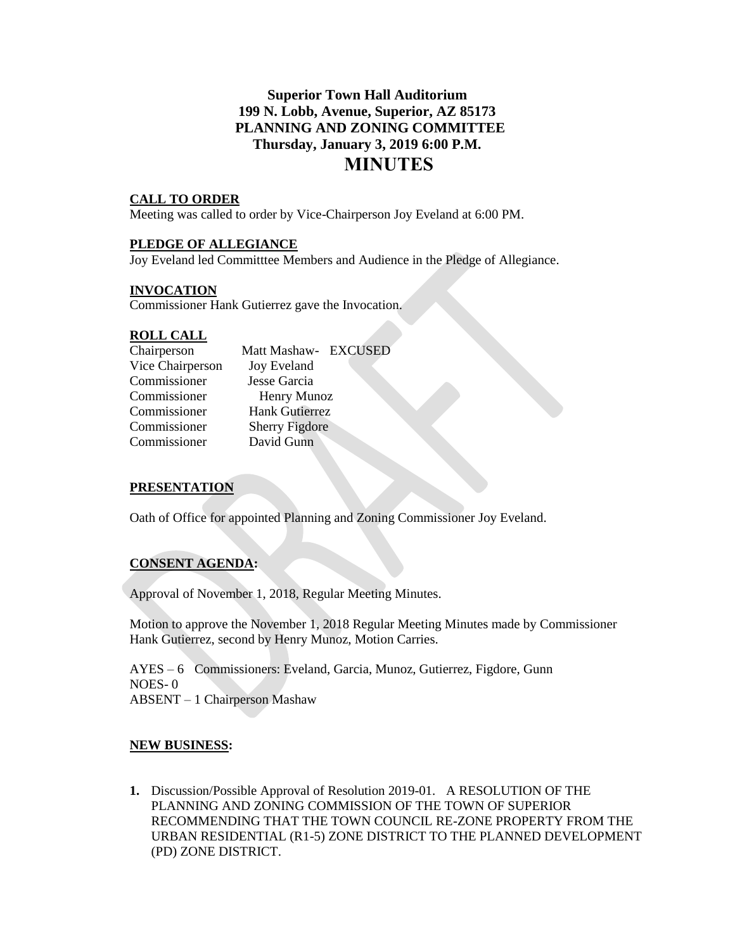# **Superior Town Hall Auditorium 199 N. Lobb, Avenue, Superior, AZ 85173 PLANNING AND ZONING COMMITTEE Thursday, January 3, 2019 6:00 P.M. MINUTES**

### **CALL TO ORDER**

Meeting was called to order by Vice-Chairperson Joy Eveland at 6:00 PM.

### **PLEDGE OF ALLEGIANCE**

Joy Eveland led Committtee Members and Audience in the Pledge of Allegiance.

### **INVOCATION**

Commissioner Hank Gutierrez gave the Invocation.

#### **ROLL CALL**

| Chairperson      | Matt Mashaw- EXCUSED  |
|------------------|-----------------------|
| Vice Chairperson | <b>Joy Eveland</b>    |
| Commissioner     | Jesse Garcia          |
| Commissioner     | Henry Munoz           |
| Commissioner     | <b>Hank Gutierrez</b> |
| Commissioner     | <b>Sherry Figdore</b> |
| Commissioner     | David Gunn            |
|                  |                       |

### **PRESENTATION**

Oath of Office for appointed Planning and Zoning Commissioner Joy Eveland.

### **CONSENT AGENDA:**

Approval of November 1, 2018, Regular Meeting Minutes.

Motion to approve the November 1, 2018 Regular Meeting Minutes made by Commissioner Hank Gutierrez, second by Henry Munoz, Motion Carries.

AYES – 6 Commissioners: Eveland, Garcia, Munoz, Gutierrez, Figdore, Gunn NOES- 0 ABSENT – 1 Chairperson Mashaw

### **NEW BUSINESS:**

**1.** Discussion/Possible Approval of Resolution 2019-01. A RESOLUTION OF THE PLANNING AND ZONING COMMISSION OF THE TOWN OF SUPERIOR RECOMMENDING THAT THE TOWN COUNCIL RE-ZONE PROPERTY FROM THE URBAN RESIDENTIAL (R1-5) ZONE DISTRICT TO THE PLANNED DEVELOPMENT (PD) ZONE DISTRICT.